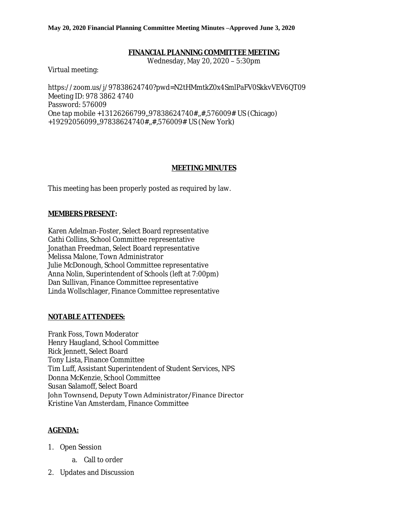### **May 20, 2020 Financial Planning Committee Meeting Minutes –Approved June 3, 2020**

### **FINANCIAL PLANNING COMMITTEE MEETING**

Wednesday, May 20, 2020 – 5:30pm

Virtual meeting:

https://zoom.us/j/97838624740?pwd=N2tHMmtkZ0x4SmlPaFV0SkkvVEV6QT09 Meeting ID: 978 3862 4740 Password: 576009 One tap mobile +13126266799,,97838624740#,,#,576009# US (Chicago) +19292056099,,97838624740#,,#,576009# US (New York)

## **MEETING MINUTES**

This meeting has been properly posted as required by law.

## **MEMBERS PRESENT:**

Karen Adelman-Foster, Select Board representative Cathi Collins, School Committee representative Jonathan Freedman, Select Board representative Melissa Malone, Town Administrator Julie McDonough, School Committee representative Anna Nolin, Superintendent of Schools (left at 7:00pm) Dan Sullivan, Finance Committee representative Linda Wollschlager, Finance Committee representative

## **NOTABLE ATTENDEES:**

Frank Foss, Town Moderator Henry Haugland, School Committee Rick Jennett, Select Board Tony Lista, Finance Committee Tim Luff, Assistant Superintendent of Student Services, NPS Donna McKenzie, School Committee Susan Salamoff, Select Board John Townsend, Deputy Town Administrator/Finance Director Kristine Van Amsterdam, Finance Committee

## **AGENDA:**

- 1. Open Session
	- a. Call to order
- 2. Updates and Discussion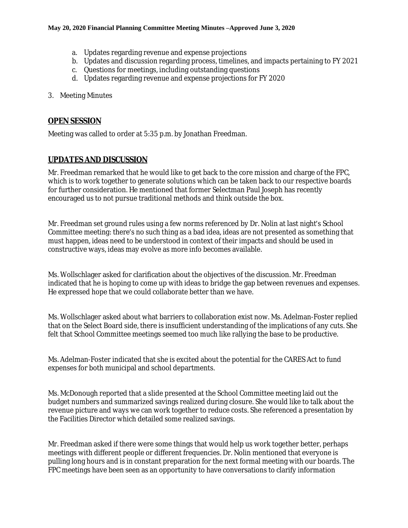- a. Updates regarding revenue and expense projections
- b. Updates and discussion regarding process, timelines, and impacts pertaining to FY 2021
- c. Questions for meetings, including outstanding questions
- d. Updates regarding revenue and expense projections for FY 2020
- 3. Meeting Minutes

# **OPEN SESSION**

Meeting was called to order at 5:35 p.m. by Jonathan Freedman.

## **UPDATES AND DISCUSSION**

Mr. Freedman remarked that he would like to get back to the core mission and charge of the FPC, which is to work together to generate solutions which can be taken back to our respective boards for further consideration. He mentioned that former Selectman Paul Joseph has recently encouraged us to not pursue traditional methods and think outside the box.

Mr. Freedman set ground rules using a few norms referenced by Dr. Nolin at last night's School Committee meeting: there's no such thing as a bad idea, ideas are not presented as something that must happen, ideas need to be understood in context of their impacts and should be used in constructive ways, ideas may evolve as more info becomes available.

Ms. Wollschlager asked for clarification about the objectives of the discussion. Mr. Freedman indicated that he is hoping to come up with ideas to bridge the gap between revenues and expenses. He expressed hope that we could collaborate better than we have.

Ms. Wollschlager asked about what barriers to collaboration exist now. Ms. Adelman-Foster replied that on the Select Board side, there is insufficient understanding of the implications of any cuts. She felt that School Committee meetings seemed too much like rallying the base to be productive.

Ms. Adelman-Foster indicated that she is excited about the potential for the CARES Act to fund expenses for both municipal and school departments.

Ms. McDonough reported that a slide presented at the School Committee meeting laid out the budget numbers and summarized savings realized during closure. She would like to talk about the revenue picture and ways we can work together to reduce costs. She referenced a presentation by the Facilities Director which detailed some realized savings.

Mr. Freedman asked if there were some things that would help us work together better, perhaps meetings with different people or different frequencies. Dr. Nolin mentioned that everyone is pulling long hours and is in constant preparation for the next formal meeting with our boards. The FPC meetings have been seen as an opportunity to have conversations to clarify information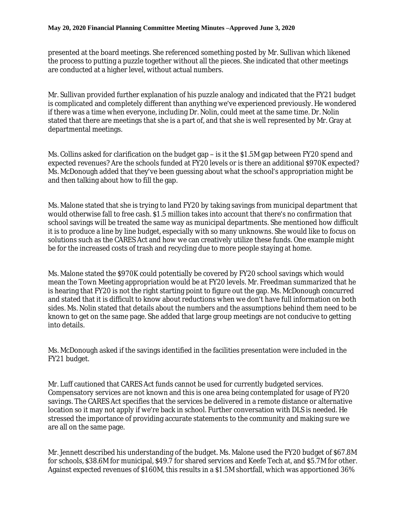presented at the board meetings. She referenced something posted by Mr. Sullivan which likened the process to putting a puzzle together without all the pieces. She indicated that other meetings are conducted at a higher level, without actual numbers.

Mr. Sullivan provided further explanation of his puzzle analogy and indicated that the FY21 budget is complicated and completely different than anything we've experienced previously. He wondered if there was a time when everyone, including Dr. Nolin, could meet at the same time. Dr. Nolin stated that there are meetings that she is a part of, and that she is well represented by Mr. Gray at departmental meetings.

Ms. Collins asked for clarification on the budget gap – is it the \$1.5M gap between FY20 spend and expected revenues? Are the schools funded at FY20 levels or is there an additional \$970K expected? Ms. McDonough added that they've been guessing about what the school's appropriation might be and then talking about how to fill the gap.

Ms. Malone stated that she is trying to land FY20 by taking savings from municipal department that would otherwise fall to free cash. \$1.5 million takes into account that there's no confirmation that school savings will be treated the same way as municipal departments. She mentioned how difficult it is to produce a line by line budget, especially with so many unknowns. She would like to focus on solutions such as the CARES Act and how we can creatively utilize these funds. One example might be for the increased costs of trash and recycling due to more people staying at home.

Ms. Malone stated the \$970K could potentially be covered by FY20 school savings which would mean the Town Meeting appropriation would be at FY20 levels. Mr. Freedman summarized that he is hearing that FY20 is not the right starting point to figure out the gap. Ms. McDonough concurred and stated that it is difficult to know about reductions when we don't have full information on both sides. Ms. Nolin stated that details about the numbers and the assumptions behind them need to be known to get on the same page. She added that large group meetings are not conducive to getting into details.

Ms. McDonough asked if the savings identified in the facilities presentation were included in the FY21 budget.

Mr. Luff cautioned that CARES Act funds cannot be used for currently budgeted services. Compensatory services are not known and this is one area being contemplated for usage of FY20 savings. The CARES Act specifies that the services be delivered in a remote distance or alternative location so it may not apply if we're back in school. Further conversation with DLS is needed. He stressed the importance of providing accurate statements to the community and making sure we are all on the same page.

Mr. Jennett described his understanding of the budget. Ms. Malone used the FY20 budget of \$67.8M for schools, \$38.6M for municipal, \$49.7 for shared services and Keefe Tech at, and \$5.7M for other. Against expected revenues of \$160M, this results in a \$1.5M shortfall, which was apportioned 36%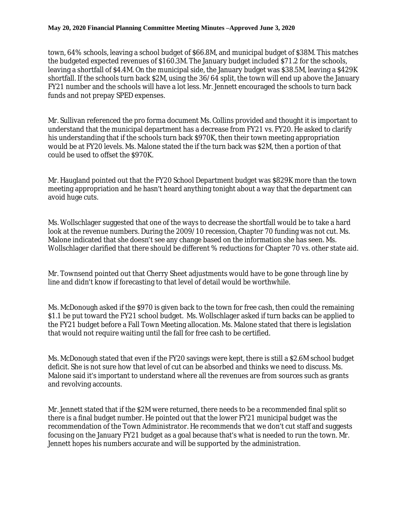### **May 20, 2020 Financial Planning Committee Meeting Minutes –Approved June 3, 2020**

town, 64% schools, leaving a school budget of \$66.8M, and municipal budget of \$38M. This matches the budgeted expected revenues of \$160.3M. The January budget included \$71.2 for the schools, leaving a shortfall of \$4.4M. On the municipal side, the January budget was \$38.5M, leaving a \$429K shortfall. If the schools turn back \$2M, using the 36/64 split, the town will end up above the January FY21 number and the schools will have a lot less. Mr. Jennett encouraged the schools to turn back funds and not prepay SPED expenses.

Mr. Sullivan referenced the pro forma document Ms. Collins provided and thought it is important to understand that the municipal department has a decrease from FY21 vs. FY20. He asked to clarify his understanding that if the schools turn back \$970K, then their town meeting appropriation would be at FY20 levels. Ms. Malone stated the if the turn back was \$2M, then a portion of that could be used to offset the \$970K.

Mr. Haugland pointed out that the FY20 School Department budget was \$829K more than the town meeting appropriation and he hasn't heard anything tonight about a way that the department can avoid huge cuts.

Ms. Wollschlager suggested that one of the ways to decrease the shortfall would be to take a hard look at the revenue numbers. During the 2009/10 recession, Chapter 70 funding was not cut. Ms. Malone indicated that she doesn't see any change based on the information she has seen. Ms. Wollschlager clarified that there should be different % reductions for Chapter 70 vs. other state aid.

Mr. Townsend pointed out that Cherry Sheet adjustments would have to be gone through line by line and didn't know if forecasting to that level of detail would be worthwhile.

Ms. McDonough asked if the \$970 is given back to the town for free cash, then could the remaining \$1.1 be put toward the FY21 school budget. Ms. Wollschlager asked if turn backs can be applied to the FY21 budget before a Fall Town Meeting allocation. Ms. Malone stated that there is legislation that would not require waiting until the fall for free cash to be certified.

Ms. McDonough stated that even if the FY20 savings were kept, there is still a \$2.6M school budget deficit. She is not sure how that level of cut can be absorbed and thinks we need to discuss. Ms. Malone said it's important to understand where all the revenues are from sources such as grants and revolving accounts.

Mr. Jennett stated that if the \$2M were returned, there needs to be a recommended final split so there is a final budget number. He pointed out that the lower FY21 municipal budget was the recommendation of the Town Administrator. He recommends that we don't cut staff and suggests focusing on the January FY21 budget as a goal because that's what is needed to run the town. Mr. Jennett hopes his numbers accurate and will be supported by the administration.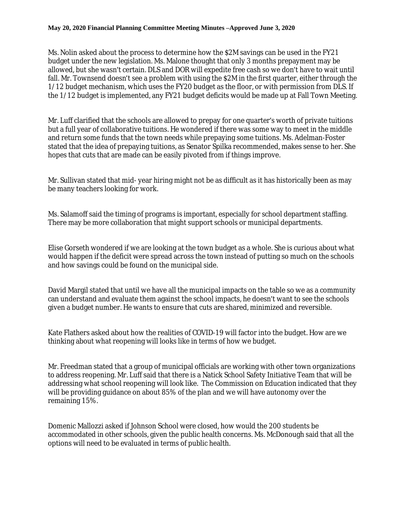### **May 20, 2020 Financial Planning Committee Meeting Minutes –Approved June 3, 2020**

Ms. Nolin asked about the process to determine how the \$2M savings can be used in the FY21 budget under the new legislation. Ms. Malone thought that only 3 months prepayment may be allowed, but she wasn't certain. DLS and DOR will expedite free cash so we don't have to wait until fall. Mr. Townsend doesn't see a problem with using the \$2M in the first quarter, either through the 1/12 budget mechanism, which uses the FY20 budget as the floor, or with permission from DLS. If the 1/12 budget is implemented, any FY21 budget deficits would be made up at Fall Town Meeting.

Mr. Luff clarified that the schools are allowed to prepay for one quarter's worth of private tuitions but a full year of collaborative tuitions. He wondered if there was some way to meet in the middle and return some funds that the town needs while prepaying some tuitions. Ms. Adelman-Foster stated that the idea of prepaying tuitions, as Senator Spilka recommended, makes sense to her. She hopes that cuts that are made can be easily pivoted from if things improve.

Mr. Sullivan stated that mid- year hiring might not be as difficult as it has historically been as may be many teachers looking for work.

Ms. Salamoff said the timing of programs is important, especially for school department staffing. There may be more collaboration that might support schools or municipal departments.

Elise Gorseth wondered if we are looking at the town budget as a whole. She is curious about what would happen if the deficit were spread across the town instead of putting so much on the schools and how savings could be found on the municipal side.

David Margil stated that until we have all the municipal impacts on the table so we as a community can understand and evaluate them against the school impacts, he doesn't want to see the schools given a budget number. He wants to ensure that cuts are shared, minimized and reversible.

Kate Flathers asked about how the realities of COVID-19 will factor into the budget. How are we thinking about what reopening will looks like in terms of how we budget.

Mr. Freedman stated that a group of municipal officials are working with other town organizations to address reopening. Mr. Luff said that there is a Natick School Safety Initiative Team that will be addressing what school reopening will look like. The Commission on Education indicated that they will be providing guidance on about 85% of the plan and we will have autonomy over the remaining 15%.

Domenic Mallozzi asked if Johnson School were closed, how would the 200 students be accommodated in other schools, given the public health concerns. Ms. McDonough said that all the options will need to be evaluated in terms of public health.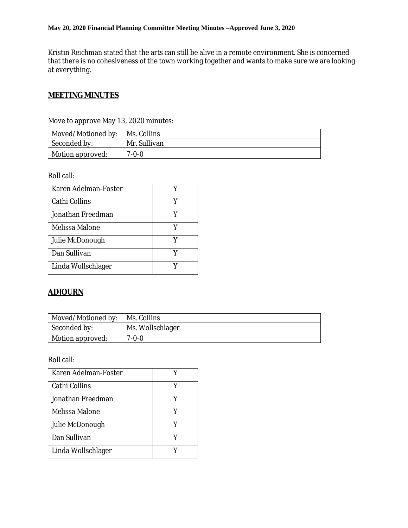Kristin Reichman stated that the arts can still be alive in a remote environment. She is concerned that there is no cohesiveness of the town working together and wants to make sure we are looking at everything.

## **MEETING MINUTES**

| Moved/Motioned by:   Ms. Collins |              |
|----------------------------------|--------------|
| Seconded by:                     | Mr. Sullivan |
| Motion approved:                 | $7 - 0 - 0$  |

Move to approve May 13, 2020 minutes:

Roll call:

| Karen Adelman-Foster |   |
|----------------------|---|
| Cathi Collins        |   |
| Jonathan Freedman    | V |
| Melissa Malone       | Y |
| Julie McDonough      | V |
| Dan Sullivan         |   |
| Linda Wollschlager   |   |

# **ADJOURN**

| Moved/Motioned by:       | Ms. Collins      |
|--------------------------|------------------|
| Seconded by:             | Ms. Wollschlager |
| $\perp$ Motion approved: | $7 - 0 - 0$      |

Roll call:

| Karen Adelman-Foster |   |
|----------------------|---|
|                      |   |
| Cathi Collins        | V |
| Jonathan Freedman    |   |
| Melissa Malone       |   |
| Julie McDonough      | V |
| Dan Sullivan         |   |
| Linda Wollschlager   |   |